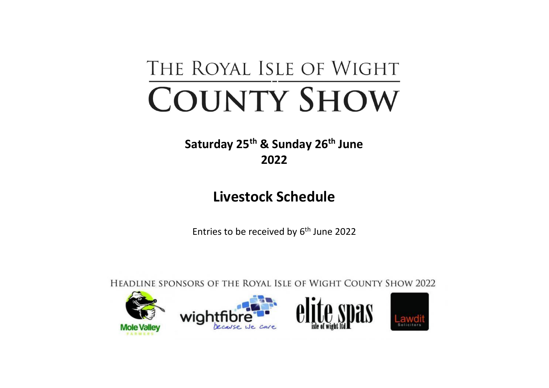# THE ROYAL ISLE OF WIGHT **COUNTY SHOW**

**Saturday 25th & Sunday 26th June 2022**

# **Livestock Schedule**

Entries to be received by 6<sup>th</sup> June 2022

HEADLINE SPONSORS OF THE ROYAL ISLE OF WIGHT COUNTY SHOW 2022

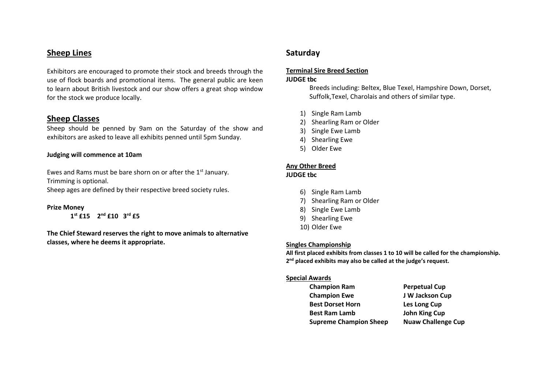# **Sheep Lines**

Exhibitors are encouraged to promote their stock and breeds through the use of flock boards and promotional items. The general public are keen to learn about British livestock and our show offers a great shop window for the stock we produce locally.

## **Sheep Classes**

Sheep should be penned by 9am on the Saturday of the show and exhibitors are asked to leave all exhibits penned until 5pm Sunday.

#### **Judging will commence at 10am**

Ewes and Rams must be bare shorn on or after the  $1<sup>st</sup>$  January. Trimming is optional.

Sheep ages are defined by their respective breed society rules.

**Prize Money 1 st £15 2 nd £10 3 rd £5**

**The Chief Steward reserves the right to move animals to alternative classes, where he deems it appropriate.**

# **Saturday**

#### **Terminal Sire Breed Section**

#### **JUDGE tbc**

Breeds including: Beltex, Blue Texel, Hampshire Down, Dorset, Suffolk,Texel, Charolais and others of similar type.

- 1) Single Ram Lamb
- 2) Shearling Ram or Older
- 3) Single Ewe Lamb
- 4) Shearling Ewe
- 5) Older Ewe

#### **Any Other Breed**

#### **JUDGE tbc**

- 6) Single Ram Lamb
- 7) Shearling Ram or Older
- 8) Single Ewe Lamb
- 9) Shearling Ewe
- 10) Older Ewe

#### **Singles Championship**

**All first placed exhibits from classes 1 to 10 will be called for the championship. 2 nd placed exhibits may also be called at the judge's request.**

#### **Special Awards**

| <b>Champion Ram</b>           | <b>Perpetual Cup</b>      |
|-------------------------------|---------------------------|
| <b>Champion Ewe</b>           | J W Jackson Cup           |
| <b>Best Dorset Horn</b>       | Les Long Cup              |
| <b>Best Ram Lamb</b>          | John King Cup             |
| <b>Supreme Champion Sheep</b> | <b>Nuaw Challenge Cup</b> |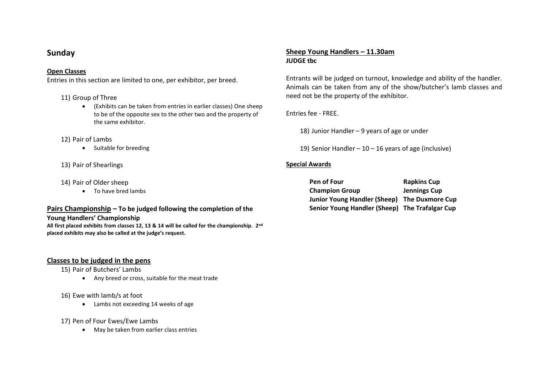# **Sunday**

#### **Open Classes**

Entries in this section are limited to one, per exhibitor, per breed.

#### 11) Group of Three

- (Exhibits can be taken from entries in earlier classes) One sheep to be of the opposite sex to the other two and the property of the same exhibitor.
- 12) Pair of Lambs
	- Suitable for breeding
- 13) Pair of Shearlings
- 14) Pair of Older sheep
	- To have bred lambs

**Pairs Championship – To be judged following the completion of the Young Handlers' Championship All first placed exhibits from classes 12, 13 & 14 will be called for the championship. 2nd placed exhibits may also be called at the judge's request.**

#### **Classes to be judged in the pens**

- 15) Pair of Butchers' Lambs
	- Any breed or cross, suitable for the meat trade

#### 16) Ewe with lamb/s at foot

• Lambs not exceeding 14 weeks of age

#### 17) Pen of Four Ewes/Ewe Lambs

• May be taken from earlier class entries

# **Sheep Young Handlers – 11.30am JUDGE tbc**

Entrants will be judged on turnout, knowledge and ability of the handler. Animals can be taken from any of the show/butcher's lamb classes and need not be the property of the exhibitor.

Entries fee - FREE.

18) Junior Handler – 9 years of age or under

19) Senior Handler –  $10 - 16$  years of age (inclusive)

#### **Special Awards**

| Pen of Four                                    | <b>Rapkins Cup</b>  |
|------------------------------------------------|---------------------|
| <b>Champion Group</b>                          | <b>Jennings Cup</b> |
| Junior Young Handler (Sheep) The Duxmore Cup   |                     |
| Senior Young Handler (Sheep) The Trafalgar Cup |                     |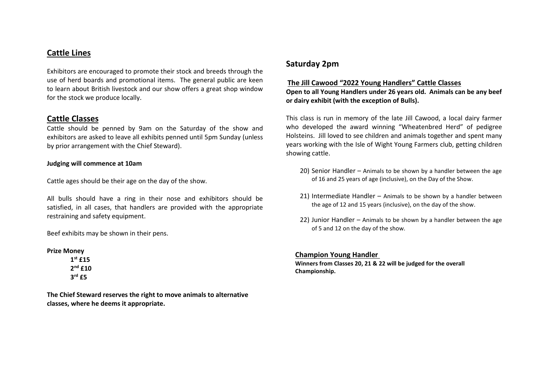# **Cattle Lines**

Exhibitors are encouraged to promote their stock and breeds through the use of herd boards and promotional items. The general public are keen to learn about British livestock and our show offers a great shop window for the stock we produce locally.

# **Cattle Classes**

Cattle should be penned by 9am on the Saturday of the show and exhibitors are asked to leave all exhibits penned until 5pm Sunday (unless by prior arrangement with the Chief Steward).

#### **Judging will commence at 10am**

Cattle ages should be their age on the day of the show.

All bulls should have a ring in their nose and exhibitors should be satisfied, in all cases, that handlers are provided with the appropriate restraining and safety equipment.

Beef exhibits may be shown in their pens.

#### **Prize Money**

**1 st £15 2 nd £10 3 rd £5**

**The Chief Steward reserves the right to move animals to alternative classes, where he deems it appropriate.**

# **Saturday 2pm**

#### **The Jill Cawood "2022 Young Handlers" Cattle Classes**

**Open to all Young Handlers under 26 years old. Animals can be any beef or dairy exhibit (with the exception of Bulls).**

This class is run in memory of the late Jill Cawood, a local dairy farmer who developed the award winning "Wheatenbred Herd" of pedigree Holsteins. Jill loved to see children and animals together and spent many years working with the Isle of Wight Young Farmers club, getting children showing cattle.

- 20) Senior Handler Animals to be shown by a handler between the age of 16 and 25 years of age (inclusive), on the Day of the Show.
- 21) Intermediate Handler Animals to be shown by a handler between the age of 12 and 15 years (inclusive), on the day of the show.
- 22) Junior Handler Animals to be shown by a handler between the age of 5 and 12 on the day of the show.

#### **Champion Young Handler**

**Winners from Classes 20, 21 & 22 will be judged for the overall Championship.**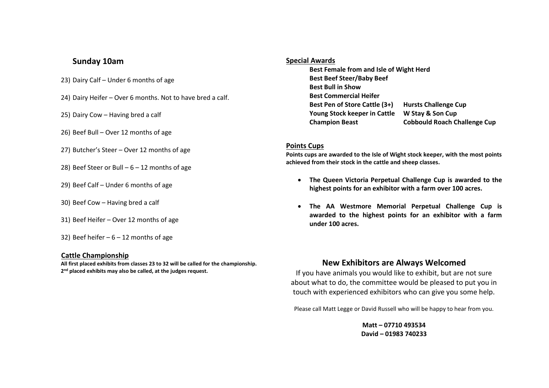# **Sunday 10am**

- 23) Dairy Calf Under 6 months of age
- 24) Dairy Heifer Over 6 months. Not to have bred a calf.
- 25) Dairy Cow Having bred a calf
- 26) Beef Bull Over 12 months of age
- 27) Butcher's Steer Over 12 months of age
- 28) Beef Steer or Bull  $6 12$  months of age
- 29) Beef Calf Under 6 months of age
- 30) Beef Cow Having bred a calf
- 31) Beef Heifer Over 12 months of age
- 32) Beef heifer  $-6 12$  months of age

#### **Cattle Championship**

**All first placed exhibits from classes 23 to 32 will be called for the championship. 2 nd placed exhibits may also be called, at the judges request.**

#### **Special Awards**

**Best Female from and Isle of Wight Herd Best Beef Steer/Baby Beef Best Bull in Show Best Commercial Heifer Best Pen of Store Cattle (3+) Hursts Challenge Cup Young Stock keeper in Cattle W Stay & Son Cup Champion Beast Cobbould Roach Challenge Cup**

#### **Points Cups**

**Points cups are awarded to the Isle of Wight stock keeper, with the most points achieved from their stock in the cattle and sheep classes.**

- **The Queen Victoria Perpetual Challenge Cup is awarded to the highest points for an exhibitor with a farm over 100 acres.**
- **The AA Westmore Memorial Perpetual Challenge Cup is awarded to the highest points for an exhibitor with a farm under 100 acres.**

### **New Exhibitors are Always Welcomed**

If you have animals you would like to exhibit, but are not sure about what to do, the committee would be pleased to put you in touch with experienced exhibitors who can give you some help.

Please call Matt Legge or David Russell who will be happy to hear from you.

**Matt – 07710 493534 David – 01983 740233**